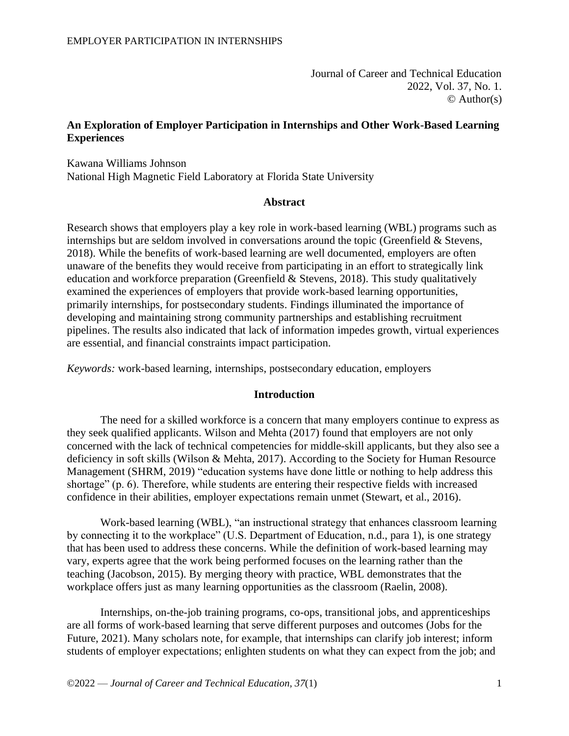Journal of Career and Technical Education 2022, Vol. 37, No. 1.  $\odot$  Author(s)

### **An Exploration of Employer Participation in Internships and Other Work-Based Learning Experiences**

Kawana Williams Johnson National High Magnetic Field Laboratory at Florida State University

#### **Abstract**

Research shows that employers play a key role in work-based learning (WBL) programs such as internships but are seldom involved in conversations around the topic (Greenfield & Stevens, 2018). While the benefits of work-based learning are well documented, employers are often unaware of the benefits they would receive from participating in an effort to strategically link education and workforce preparation (Greenfield & Stevens, 2018). This study qualitatively examined the experiences of employers that provide work-based learning opportunities, primarily internships, for postsecondary students. Findings illuminated the importance of developing and maintaining strong community partnerships and establishing recruitment pipelines. The results also indicated that lack of information impedes growth, virtual experiences are essential, and financial constraints impact participation.

*Keywords:* work-based learning, internships, postsecondary education, employers

### **Introduction**

The need for a skilled workforce is a concern that many employers continue to express as they seek qualified applicants. Wilson and Mehta (2017) found that employers are not only concerned with the lack of technical competencies for middle-skill applicants, but they also see a deficiency in soft skills (Wilson & Mehta, 2017). According to the Society for Human Resource Management (SHRM, 2019) "education systems have done little or nothing to help address this shortage" (p. 6). Therefore, while students are entering their respective fields with increased confidence in their abilities, employer expectations remain unmet (Stewart, et al., 2016).

Work-based learning (WBL), "an instructional strategy that enhances classroom learning by connecting it to the workplace" (U.S. Department of Education, n.d., para 1), is one strategy that has been used to address these concerns. While the definition of work-based learning may vary, experts agree that the work being performed focuses on the learning rather than the teaching (Jacobson, 2015). By merging theory with practice, WBL demonstrates that the workplace offers just as many learning opportunities as the classroom (Raelin, 2008).

Internships, on-the-job training programs, co-ops, transitional jobs, and apprenticeships are all forms of work-based learning that serve different purposes and outcomes (Jobs for the Future, 2021). Many scholars note, for example, that internships can clarify job interest; inform students of employer expectations; enlighten students on what they can expect from the job; and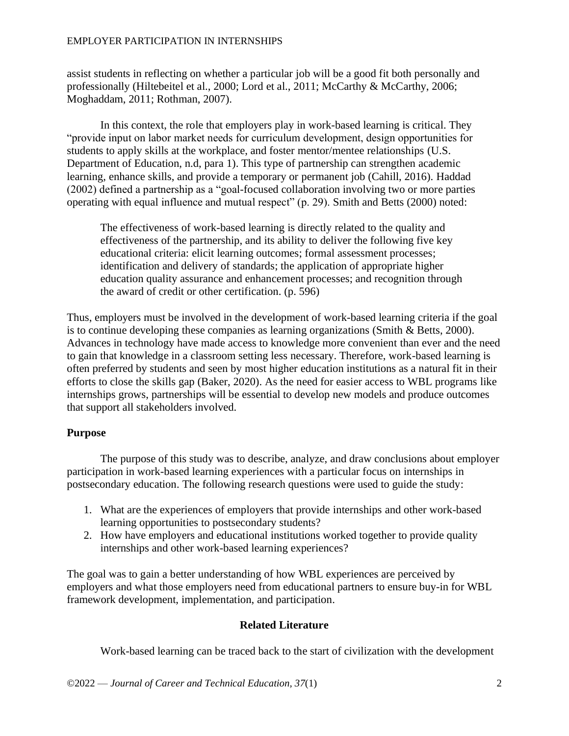assist students in reflecting on whether a particular job will be a good fit both personally and professionally (Hiltebeitel et al., 2000; Lord et al., 2011; McCarthy & McCarthy, 2006; Moghaddam, 2011; Rothman, 2007).

In this context, the role that employers play in work-based learning is critical. They "provide input on labor market needs for curriculum development, design opportunities for students to apply skills at the workplace, and foster mentor/mentee relationships (U.S. Department of Education, n.d, para 1). This type of partnership can strengthen academic learning, enhance skills, and provide a temporary or permanent job (Cahill, 2016). Haddad (2002) defined a partnership as a "goal-focused collaboration involving two or more parties operating with equal influence and mutual respect" (p. 29). Smith and Betts (2000) noted:

The effectiveness of work-based learning is directly related to the quality and effectiveness of the partnership, and its ability to deliver the following five key educational criteria: elicit learning outcomes; formal assessment processes; identification and delivery of standards; the application of appropriate higher education quality assurance and enhancement processes; and recognition through the award of credit or other certification. (p. 596)

Thus, employers must be involved in the development of work-based learning criteria if the goal is to continue developing these companies as learning organizations (Smith & Betts, 2000). Advances in technology have made access to knowledge more convenient than ever and the need to gain that knowledge in a classroom setting less necessary. Therefore, work-based learning is often preferred by students and seen by most higher education institutions as a natural fit in their efforts to close the skills gap (Baker, 2020). As the need for easier access to WBL programs like internships grows, partnerships will be essential to develop new models and produce outcomes that support all stakeholders involved.

# **Purpose**

The purpose of this study was to describe, analyze, and draw conclusions about employer participation in work-based learning experiences with a particular focus on internships in postsecondary education. The following research questions were used to guide the study:

- 1. What are the experiences of employers that provide internships and other work-based learning opportunities to postsecondary students?
- 2. How have employers and educational institutions worked together to provide quality internships and other work-based learning experiences?

The goal was to gain a better understanding of how WBL experiences are perceived by employers and what those employers need from educational partners to ensure buy-in for WBL framework development, implementation, and participation.

# **Related Literature**

Work-based learning can be traced back to the start of civilization with the development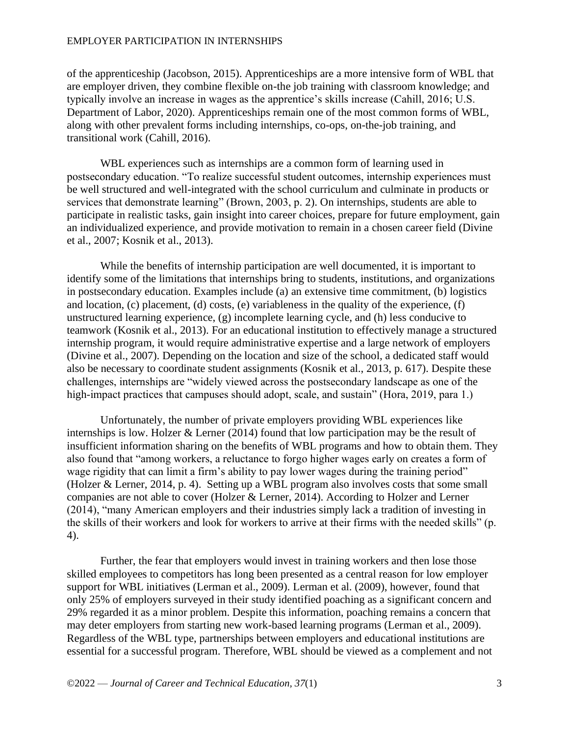of the apprenticeship (Jacobson, 2015). Apprenticeships are a more intensive form of WBL that are employer driven, they combine flexible on-the job training with classroom knowledge; and typically involve an increase in wages as the apprentice's skills increase (Cahill, 2016; U.S. Department of Labor, 2020). Apprenticeships remain one of the most common forms of WBL, along with other prevalent forms including internships, co-ops, on-the-job training, and transitional work (Cahill, 2016).

WBL experiences such as internships are a common form of learning used in postsecondary education. "To realize successful student outcomes, internship experiences must be well structured and well-integrated with the school curriculum and culminate in products or services that demonstrate learning" (Brown, 2003, p. 2). On internships, students are able to participate in realistic tasks, gain insight into career choices, prepare for future employment, gain an individualized experience, and provide motivation to remain in a chosen career field (Divine et al., 2007; Kosnik et al., 2013).

While the benefits of internship participation are well documented, it is important to identify some of the limitations that internships bring to students, institutions, and organizations in postsecondary education. Examples include (a) an extensive time commitment, (b) logistics and location, (c) placement, (d) costs, (e) variableness in the quality of the experience, (f) unstructured learning experience, (g) incomplete learning cycle, and (h) less conducive to teamwork (Kosnik et al., 2013). For an educational institution to effectively manage a structured internship program, it would require administrative expertise and a large network of employers (Divine et al., 2007). Depending on the location and size of the school, a dedicated staff would also be necessary to coordinate student assignments (Kosnik et al., 2013, p. 617). Despite these challenges, internships are "widely viewed across the postsecondary landscape as one of the high-impact practices that campuses should adopt, scale, and sustain" (Hora, 2019, para 1.)

Unfortunately, the number of private employers providing WBL experiences like internships is low. Holzer & Lerner (2014) found that low participation may be the result of insufficient information sharing on the benefits of WBL programs and how to obtain them. They also found that "among workers, a reluctance to forgo higher wages early on creates a form of wage rigidity that can limit a firm's ability to pay lower wages during the training period" (Holzer & Lerner, 2014, p. 4). Setting up a WBL program also involves costs that some small companies are not able to cover (Holzer & Lerner, 2014). According to Holzer and Lerner (2014), "many American employers and their industries simply lack a tradition of investing in the skills of their workers and look for workers to arrive at their firms with the needed skills" (p. 4).

Further, the fear that employers would invest in training workers and then lose those skilled employees to competitors has long been presented as a central reason for low employer support for WBL initiatives (Lerman et al., 2009). Lerman et al. (2009), however, found that only 25% of employers surveyed in their study identified poaching as a significant concern and 29% regarded it as a minor problem. Despite this information, poaching remains a concern that may deter employers from starting new work-based learning programs (Lerman et al., 2009). Regardless of the WBL type, partnerships between employers and educational institutions are essential for a successful program. Therefore, WBL should be viewed as a complement and not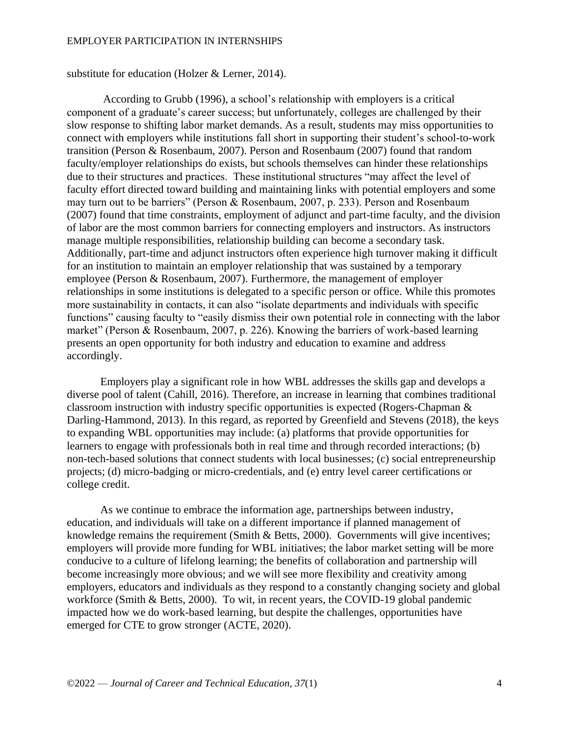substitute for education (Holzer & Lerner, 2014).

According to Grubb (1996), a school's relationship with employers is a critical component of a graduate's career success; but unfortunately, colleges are challenged by their slow response to shifting labor market demands. As a result, students may miss opportunities to connect with employers while institutions fall short in supporting their student's school-to-work transition (Person & Rosenbaum, 2007). Person and Rosenbaum (2007) found that random faculty/employer relationships do exists, but schools themselves can hinder these relationships due to their structures and practices. These institutional structures "may affect the level of faculty effort directed toward building and maintaining links with potential employers and some may turn out to be barriers" (Person & Rosenbaum, 2007, p. 233). Person and Rosenbaum (2007) found that time constraints, employment of adjunct and part-time faculty, and the division of labor are the most common barriers for connecting employers and instructors. As instructors manage multiple responsibilities, relationship building can become a secondary task. Additionally, part-time and adjunct instructors often experience high turnover making it difficult for an institution to maintain an employer relationship that was sustained by a temporary employee (Person & Rosenbaum, 2007). Furthermore, the management of employer relationships in some institutions is delegated to a specific person or office. While this promotes more sustainability in contacts, it can also "isolate departments and individuals with specific functions" causing faculty to "easily dismiss their own potential role in connecting with the labor market" (Person & Rosenbaum, 2007, p. 226). Knowing the barriers of work-based learning presents an open opportunity for both industry and education to examine and address accordingly.

Employers play a significant role in how WBL addresses the skills gap and develops a diverse pool of talent (Cahill, 2016). Therefore, an increase in learning that combines traditional classroom instruction with industry specific opportunities is expected (Rogers-Chapman & Darling-Hammond, 2013). In this regard, as reported by Greenfield and Stevens (2018), the keys to expanding WBL opportunities may include: (a) platforms that provide opportunities for learners to engage with professionals both in real time and through recorded interactions; (b) non-tech-based solutions that connect students with local businesses; (c) social entrepreneurship projects; (d) micro-badging or micro-credentials, and (e) entry level career certifications or college credit.

As we continue to embrace the information age, partnerships between industry, education, and individuals will take on a different importance if planned management of knowledge remains the requirement (Smith & Betts, 2000). Governments will give incentives; employers will provide more funding for WBL initiatives; the labor market setting will be more conducive to a culture of lifelong learning; the benefits of collaboration and partnership will become increasingly more obvious; and we will see more flexibility and creativity among employers, educators and individuals as they respond to a constantly changing society and global workforce (Smith & Betts, 2000). To wit, in recent years, the COVID-19 global pandemic impacted how we do work-based learning, but despite the challenges, opportunities have emerged for CTE to grow stronger (ACTE, 2020).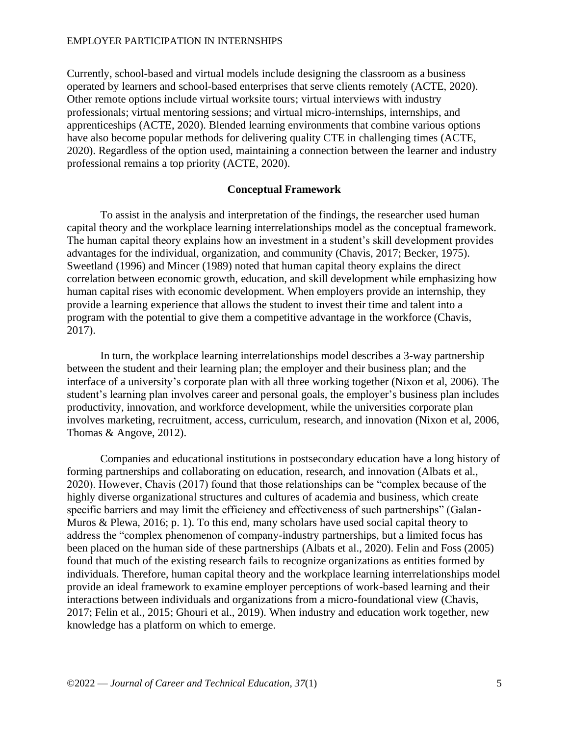Currently, school-based and virtual models include designing the classroom as a business operated by learners and school-based enterprises that serve clients remotely (ACTE, 2020). Other remote options include virtual worksite tours; virtual interviews with industry professionals; virtual mentoring sessions; and virtual micro-internships, internships, and apprenticeships (ACTE, 2020). Blended learning environments that combine various options have also become popular methods for delivering quality CTE in challenging times (ACTE, 2020). Regardless of the option used, maintaining a connection between the learner and industry professional remains a top priority (ACTE, 2020).

### **Conceptual Framework**

To assist in the analysis and interpretation of the findings, the researcher used human capital theory and the workplace learning interrelationships model as the conceptual framework. The human capital theory explains how an investment in a student's skill development provides advantages for the individual, organization, and community (Chavis, 2017; Becker, 1975). Sweetland (1996) and Mincer (1989) noted that human capital theory explains the direct correlation between economic growth, education, and skill development while emphasizing how human capital rises with economic development. When employers provide an internship, they provide a learning experience that allows the student to invest their time and talent into a program with the potential to give them a competitive advantage in the workforce (Chavis, 2017).

In turn, the workplace learning interrelationships model describes a 3-way partnership between the student and their learning plan; the employer and their business plan; and the interface of a university's corporate plan with all three working together (Nixon et al, 2006). The student's learning plan involves career and personal goals, the employer's business plan includes productivity, innovation, and workforce development, while the universities corporate plan involves marketing, recruitment, access, curriculum, research, and innovation (Nixon et al, 2006, Thomas & Angove, 2012).

Companies and educational institutions in postsecondary education have a long history of forming partnerships and collaborating on education, research, and innovation (Albats et al., 2020). However, Chavis (2017) found that those relationships can be "complex because of the highly diverse organizational structures and cultures of academia and business, which create specific barriers and may limit the efficiency and effectiveness of such partnerships" (Galan-Muros & Plewa, 2016; p. 1). To this end, many scholars have used social capital theory to address the "complex phenomenon of company-industry partnerships, but a limited focus has been placed on the human side of these partnerships (Albats et al., 2020). Felin and Foss (2005) found that much of the existing research fails to recognize organizations as entities formed by individuals. Therefore, human capital theory and the workplace learning interrelationships model provide an ideal framework to examine employer perceptions of work-based learning and their interactions between individuals and organizations from a micro-foundational view (Chavis, 2017; Felin et al., 2015; Ghouri et al., 2019). When industry and education work together, new knowledge has a platform on which to emerge.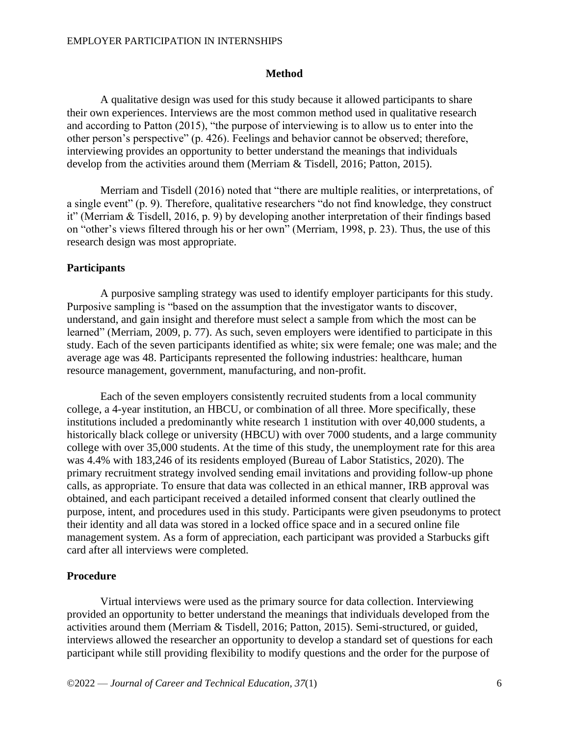### **Method**

A qualitative design was used for this study because it allowed participants to share their own experiences. Interviews are the most common method used in qualitative research and according to Patton (2015), "the purpose of interviewing is to allow us to enter into the other person's perspective" (p. 426). Feelings and behavior cannot be observed; therefore, interviewing provides an opportunity to better understand the meanings that individuals develop from the activities around them (Merriam & Tisdell, 2016; Patton, 2015).

Merriam and Tisdell (2016) noted that "there are multiple realities, or interpretations, of a single event" (p. 9). Therefore, qualitative researchers "do not find knowledge, they construct it" (Merriam & Tisdell, 2016, p. 9) by developing another interpretation of their findings based on "other's views filtered through his or her own" (Merriam, 1998, p. 23). Thus, the use of this research design was most appropriate.

### **Participants**

A purposive sampling strategy was used to identify employer participants for this study. Purposive sampling is "based on the assumption that the investigator wants to discover, understand, and gain insight and therefore must select a sample from which the most can be learned" (Merriam, 2009, p. 77). As such, seven employers were identified to participate in this study. Each of the seven participants identified as white; six were female; one was male; and the average age was 48. Participants represented the following industries: healthcare, human resource management, government, manufacturing, and non-profit.

Each of the seven employers consistently recruited students from a local community college, a 4-year institution, an HBCU, or combination of all three. More specifically, these institutions included a predominantly white research 1 institution with over 40,000 students, a historically black college or university (HBCU) with over 7000 students, and a large community college with over 35,000 students. At the time of this study, the unemployment rate for this area was 4.4% with 183,246 of its residents employed (Bureau of Labor Statistics, 2020). The primary recruitment strategy involved sending email invitations and providing follow-up phone calls, as appropriate. To ensure that data was collected in an ethical manner, IRB approval was obtained, and each participant received a detailed informed consent that clearly outlined the purpose, intent, and procedures used in this study. Participants were given pseudonyms to protect their identity and all data was stored in a locked office space and in a secured online file management system. As a form of appreciation, each participant was provided a Starbucks gift card after all interviews were completed.

#### **Procedure**

Virtual interviews were used as the primary source for data collection. Interviewing provided an opportunity to better understand the meanings that individuals developed from the activities around them (Merriam & Tisdell, 2016; Patton, 2015). Semi-structured, or guided, interviews allowed the researcher an opportunity to develop a standard set of questions for each participant while still providing flexibility to modify questions and the order for the purpose of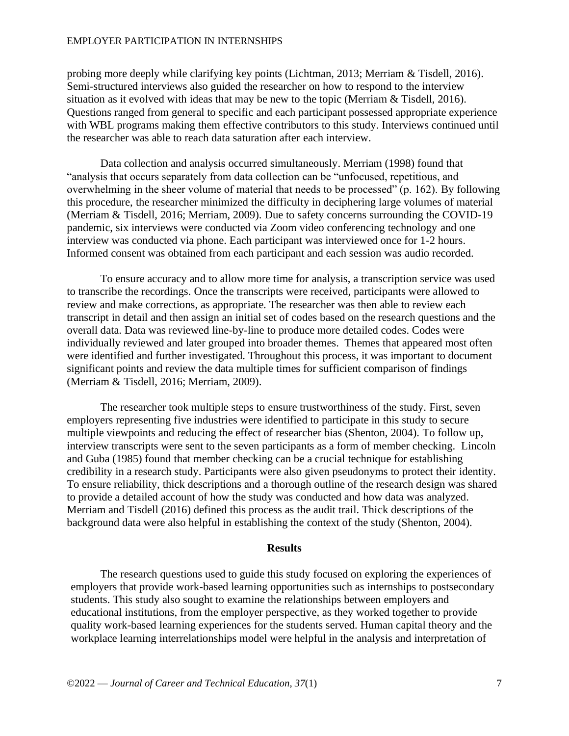probing more deeply while clarifying key points (Lichtman, 2013; Merriam & Tisdell, 2016). Semi-structured interviews also guided the researcher on how to respond to the interview situation as it evolved with ideas that may be new to the topic (Merriam & Tisdell, 2016). Questions ranged from general to specific and each participant possessed appropriate experience with WBL programs making them effective contributors to this study. Interviews continued until the researcher was able to reach data saturation after each interview.

Data collection and analysis occurred simultaneously. Merriam (1998) found that "analysis that occurs separately from data collection can be "unfocused, repetitious, and overwhelming in the sheer volume of material that needs to be processed" (p. 162). By following this procedure, the researcher minimized the difficulty in deciphering large volumes of material (Merriam & Tisdell, 2016; Merriam, 2009). Due to safety concerns surrounding the COVID-19 pandemic, six interviews were conducted via Zoom video conferencing technology and one interview was conducted via phone. Each participant was interviewed once for 1-2 hours. Informed consent was obtained from each participant and each session was audio recorded.

To ensure accuracy and to allow more time for analysis, a transcription service was used to transcribe the recordings. Once the transcripts were received, participants were allowed to review and make corrections, as appropriate. The researcher was then able to review each transcript in detail and then assign an initial set of codes based on the research questions and the overall data. Data was reviewed line-by-line to produce more detailed codes. Codes were individually reviewed and later grouped into broader themes. Themes that appeared most often were identified and further investigated. Throughout this process, it was important to document significant points and review the data multiple times for sufficient comparison of findings (Merriam & Tisdell, 2016; Merriam, 2009).

The researcher took multiple steps to ensure trustworthiness of the study. First, seven employers representing five industries were identified to participate in this study to secure multiple viewpoints and reducing the effect of researcher bias (Shenton, 2004). To follow up, interview transcripts were sent to the seven participants as a form of member checking. Lincoln and Guba (1985) found that member checking can be a crucial technique for establishing credibility in a research study. Participants were also given pseudonyms to protect their identity. To ensure reliability, thick descriptions and a thorough outline of the research design was shared to provide a detailed account of how the study was conducted and how data was analyzed. Merriam and Tisdell (2016) defined this process as the audit trail. Thick descriptions of the background data were also helpful in establishing the context of the study (Shenton, 2004).

### **Results**

The research questions used to guide this study focused on exploring the experiences of employers that provide work-based learning opportunities such as internships to postsecondary students. This study also sought to examine the relationships between employers and educational institutions, from the employer perspective, as they worked together to provide quality work-based learning experiences for the students served. Human capital theory and the workplace learning interrelationships model were helpful in the analysis and interpretation of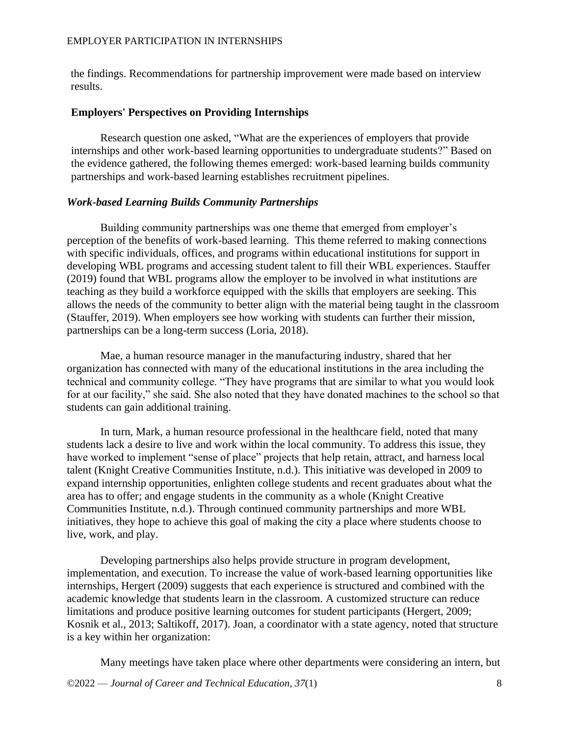the findings. Recommendations for partnership improvement were made based on interview results.

### **Employers' Perspectives on Providing Internships**

Research question one asked, "What are the experiences of employers that provide internships and other work-based learning opportunities to undergraduate students?" Based on the evidence gathered, the following themes emerged: work-based learning builds community partnerships and work-based learning establishes recruitment pipelines.

### *Work-based Learning Builds Community Partnerships*

Building community partnerships was one theme that emerged from employer's perception of the benefits of work-based learning. This theme referred to making connections with specific individuals, offices, and programs within educational institutions for support in developing WBL programs and accessing student talent to fill their WBL experiences. Stauffer (2019) found that WBL programs allow the employer to be involved in what institutions are teaching as they build a workforce equipped with the skills that employers are seeking. This allows the needs of the community to better align with the material being taught in the classroom (Stauffer, 2019). When employers see how working with students can further their mission, partnerships can be a long-term success (Loria, 2018).

Mae, a human resource manager in the manufacturing industry, shared that her organization has connected with many of the educational institutions in the area including the technical and community college. "They have programs that are similar to what you would look for at our facility," she said. She also noted that they have donated machines to the school so that students can gain additional training.

In turn, Mark, a human resource professional in the healthcare field, noted that many students lack a desire to live and work within the local community. To address this issue, they have worked to implement "sense of place" projects that help retain, attract, and harness local talent (Knight Creative Communities Institute, n.d.). This initiative was developed in 2009 to expand internship opportunities, enlighten college students and recent graduates about what the area has to offer; and engage students in the community as a whole (Knight Creative Communities Institute, n.d.). Through continued community partnerships and more WBL initiatives, they hope to achieve this goal of making the city a place where students choose to live, work, and play.

Developing partnerships also helps provide structure in program development, implementation, and execution. To increase the value of work-based learning opportunities like internships, Hergert (2009) suggests that each experience is structured and combined with the academic knowledge that students learn in the classroom. A customized structure can reduce limitations and produce positive learning outcomes for student participants (Hergert, 2009; Kosnik et al., 2013; Saltikoff, 2017). Joan, a coordinator with a state agency, noted that structure is a key within her organization:

Many meetings have taken place where other departments were considering an intern, but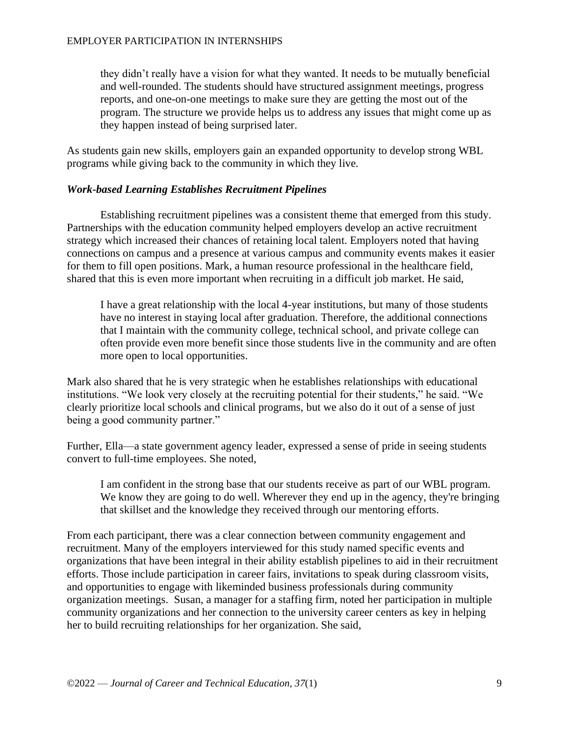they didn't really have a vision for what they wanted. It needs to be mutually beneficial and well-rounded. The students should have structured assignment meetings, progress reports, and one-on-one meetings to make sure they are getting the most out of the program. The structure we provide helps us to address any issues that might come up as they happen instead of being surprised later.

As students gain new skills, employers gain an expanded opportunity to develop strong WBL programs while giving back to the community in which they live.

### *Work-based Learning Establishes Recruitment Pipelines*

Establishing recruitment pipelines was a consistent theme that emerged from this study. Partnerships with the education community helped employers develop an active recruitment strategy which increased their chances of retaining local talent. Employers noted that having connections on campus and a presence at various campus and community events makes it easier for them to fill open positions. Mark, a human resource professional in the healthcare field, shared that this is even more important when recruiting in a difficult job market. He said,

I have a great relationship with the local 4-year institutions, but many of those students have no interest in staying local after graduation. Therefore, the additional connections that I maintain with the community college, technical school, and private college can often provide even more benefit since those students live in the community and are often more open to local opportunities.

Mark also shared that he is very strategic when he establishes relationships with educational institutions. "We look very closely at the recruiting potential for their students," he said. "We clearly prioritize local schools and clinical programs, but we also do it out of a sense of just being a good community partner."

Further, Ella—a state government agency leader, expressed a sense of pride in seeing students convert to full-time employees. She noted,

I am confident in the strong base that our students receive as part of our WBL program. We know they are going to do well. Wherever they end up in the agency, they're bringing that skillset and the knowledge they received through our mentoring efforts.

From each participant, there was a clear connection between community engagement and recruitment. Many of the employers interviewed for this study named specific events and organizations that have been integral in their ability establish pipelines to aid in their recruitment efforts. Those include participation in career fairs, invitations to speak during classroom visits, and opportunities to engage with likeminded business professionals during community organization meetings. Susan, a manager for a staffing firm, noted her participation in multiple community organizations and her connection to the university career centers as key in helping her to build recruiting relationships for her organization. She said,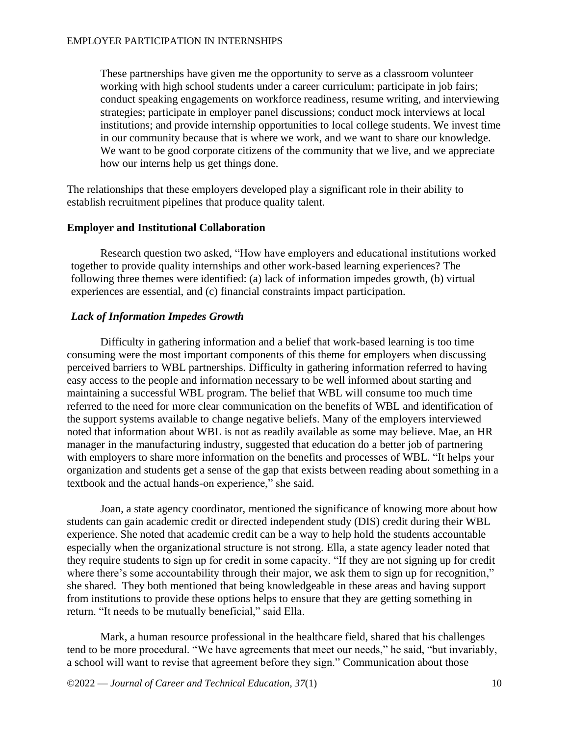These partnerships have given me the opportunity to serve as a classroom volunteer working with high school students under a career curriculum; participate in job fairs; conduct speaking engagements on workforce readiness, resume writing, and interviewing strategies; participate in employer panel discussions; conduct mock interviews at local institutions; and provide internship opportunities to local college students. We invest time in our community because that is where we work, and we want to share our knowledge. We want to be good corporate citizens of the community that we live, and we appreciate how our interns help us get things done.

The relationships that these employers developed play a significant role in their ability to establish recruitment pipelines that produce quality talent.

### **Employer and Institutional Collaboration**

Research question two asked, "How have employers and educational institutions worked together to provide quality internships and other work-based learning experiences? The following three themes were identified: (a) lack of information impedes growth, (b) virtual experiences are essential, and (c) financial constraints impact participation.

### *Lack of Information Impedes Growth*

Difficulty in gathering information and a belief that work-based learning is too time consuming were the most important components of this theme for employers when discussing perceived barriers to WBL partnerships. Difficulty in gathering information referred to having easy access to the people and information necessary to be well informed about starting and maintaining a successful WBL program. The belief that WBL will consume too much time referred to the need for more clear communication on the benefits of WBL and identification of the support systems available to change negative beliefs. Many of the employers interviewed noted that information about WBL is not as readily available as some may believe. Mae, an HR manager in the manufacturing industry, suggested that education do a better job of partnering with employers to share more information on the benefits and processes of WBL. "It helps your organization and students get a sense of the gap that exists between reading about something in a textbook and the actual hands-on experience," she said.

Joan, a state agency coordinator, mentioned the significance of knowing more about how students can gain academic credit or directed independent study (DIS) credit during their WBL experience. She noted that academic credit can be a way to help hold the students accountable especially when the organizational structure is not strong. Ella, a state agency leader noted that they require students to sign up for credit in some capacity. "If they are not signing up for credit where there's some accountability through their major, we ask them to sign up for recognition," she shared. They both mentioned that being knowledgeable in these areas and having support from institutions to provide these options helps to ensure that they are getting something in return. "It needs to be mutually beneficial," said Ella.

Mark, a human resource professional in the healthcare field, shared that his challenges tend to be more procedural. "We have agreements that meet our needs," he said, "but invariably, a school will want to revise that agreement before they sign." Communication about those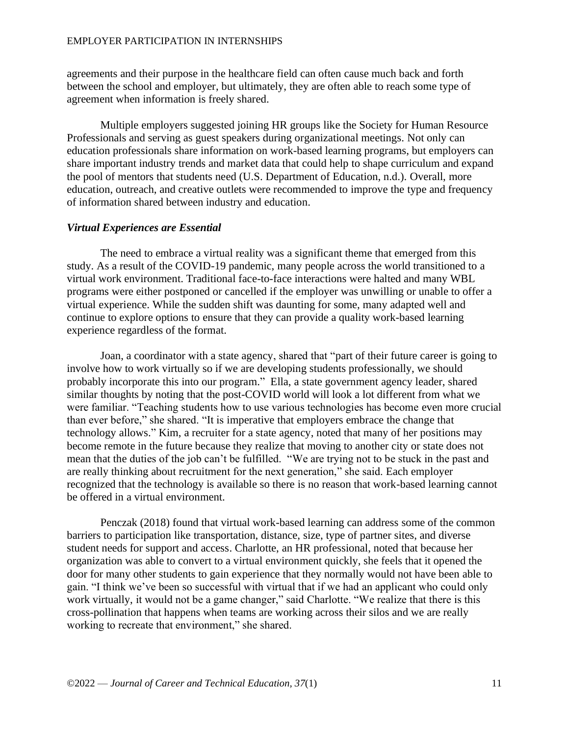agreements and their purpose in the healthcare field can often cause much back and forth between the school and employer, but ultimately, they are often able to reach some type of agreement when information is freely shared.

Multiple employers suggested joining HR groups like the Society for Human Resource Professionals and serving as guest speakers during organizational meetings. Not only can education professionals share information on work-based learning programs, but employers can share important industry trends and market data that could help to shape curriculum and expand the pool of mentors that students need (U.S. Department of Education, n.d.). Overall, more education, outreach, and creative outlets were recommended to improve the type and frequency of information shared between industry and education.

### *Virtual Experiences are Essential*

The need to embrace a virtual reality was a significant theme that emerged from this study. As a result of the COVID-19 pandemic, many people across the world transitioned to a virtual work environment. Traditional face-to-face interactions were halted and many WBL programs were either postponed or cancelled if the employer was unwilling or unable to offer a virtual experience. While the sudden shift was daunting for some, many adapted well and continue to explore options to ensure that they can provide a quality work-based learning experience regardless of the format.

Joan, a coordinator with a state agency, shared that "part of their future career is going to involve how to work virtually so if we are developing students professionally, we should probably incorporate this into our program." Ella, a state government agency leader, shared similar thoughts by noting that the post-COVID world will look a lot different from what we were familiar. "Teaching students how to use various technologies has become even more crucial than ever before," she shared. "It is imperative that employers embrace the change that technology allows." Kim, a recruiter for a state agency, noted that many of her positions may become remote in the future because they realize that moving to another city or state does not mean that the duties of the job can't be fulfilled. "We are trying not to be stuck in the past and are really thinking about recruitment for the next generation," she said. Each employer recognized that the technology is available so there is no reason that work-based learning cannot be offered in a virtual environment.

Penczak (2018) found that virtual work-based learning can address some of the common barriers to participation like transportation, distance, size, type of partner sites, and diverse student needs for support and access. Charlotte, an HR professional, noted that because her organization was able to convert to a virtual environment quickly, she feels that it opened the door for many other students to gain experience that they normally would not have been able to gain. "I think we've been so successful with virtual that if we had an applicant who could only work virtually, it would not be a game changer," said Charlotte. "We realize that there is this cross-pollination that happens when teams are working across their silos and we are really working to recreate that environment," she shared.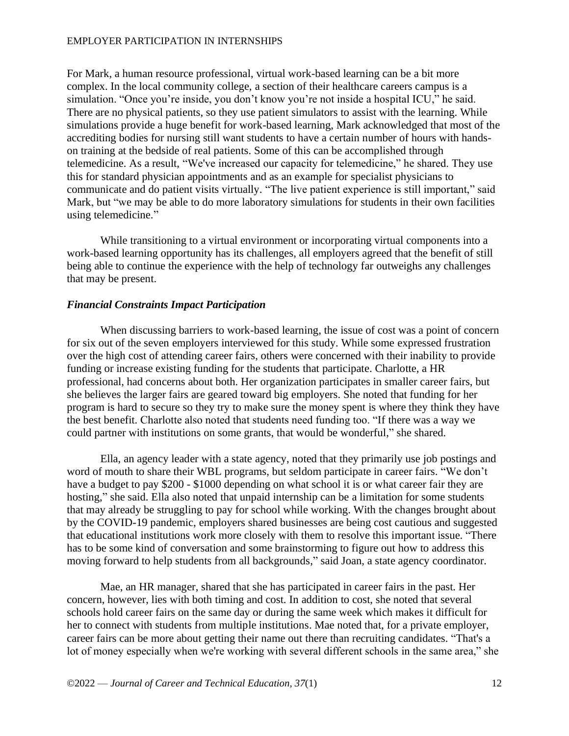For Mark, a human resource professional, virtual work-based learning can be a bit more complex. In the local community college, a section of their healthcare careers campus is a simulation. "Once you're inside, you don't know you're not inside a hospital ICU," he said. There are no physical patients, so they use patient simulators to assist with the learning. While simulations provide a huge benefit for work-based learning, Mark acknowledged that most of the accrediting bodies for nursing still want students to have a certain number of hours with handson training at the bedside of real patients. Some of this can be accomplished through telemedicine. As a result, "We've increased our capacity for telemedicine," he shared. They use this for standard physician appointments and as an example for specialist physicians to communicate and do patient visits virtually. "The live patient experience is still important," said Mark, but "we may be able to do more laboratory simulations for students in their own facilities using telemedicine."

While transitioning to a virtual environment or incorporating virtual components into a work-based learning opportunity has its challenges, all employers agreed that the benefit of still being able to continue the experience with the help of technology far outweighs any challenges that may be present.

### *Financial Constraints Impact Participation*

When discussing barriers to work-based learning, the issue of cost was a point of concern for six out of the seven employers interviewed for this study. While some expressed frustration over the high cost of attending career fairs, others were concerned with their inability to provide funding or increase existing funding for the students that participate. Charlotte, a HR professional, had concerns about both. Her organization participates in smaller career fairs, but she believes the larger fairs are geared toward big employers. She noted that funding for her program is hard to secure so they try to make sure the money spent is where they think they have the best benefit. Charlotte also noted that students need funding too. "If there was a way we could partner with institutions on some grants, that would be wonderful," she shared.

Ella, an agency leader with a state agency, noted that they primarily use job postings and word of mouth to share their WBL programs, but seldom participate in career fairs. "We don't have a budget to pay \$200 - \$1000 depending on what school it is or what career fair they are hosting," she said. Ella also noted that unpaid internship can be a limitation for some students that may already be struggling to pay for school while working. With the changes brought about by the COVID-19 pandemic, employers shared businesses are being cost cautious and suggested that educational institutions work more closely with them to resolve this important issue. "There has to be some kind of conversation and some brainstorming to figure out how to address this moving forward to help students from all backgrounds," said Joan, a state agency coordinator.

Mae, an HR manager, shared that she has participated in career fairs in the past. Her concern, however, lies with both timing and cost. In addition to cost, she noted that several schools hold career fairs on the same day or during the same week which makes it difficult for her to connect with students from multiple institutions. Mae noted that, for a private employer, career fairs can be more about getting their name out there than recruiting candidates. "That's a lot of money especially when we're working with several different schools in the same area," she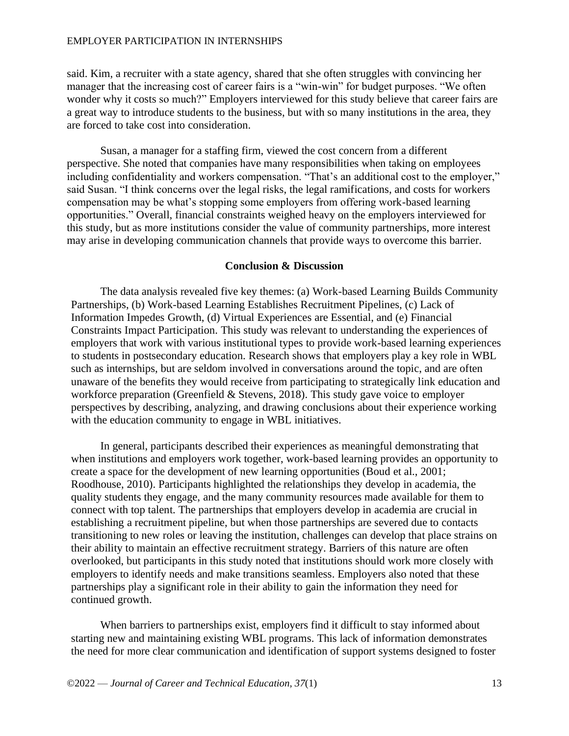said. Kim, a recruiter with a state agency, shared that she often struggles with convincing her manager that the increasing cost of career fairs is a "win-win" for budget purposes. "We often wonder why it costs so much?" Employers interviewed for this study believe that career fairs are a great way to introduce students to the business, but with so many institutions in the area, they are forced to take cost into consideration.

Susan, a manager for a staffing firm, viewed the cost concern from a different perspective. She noted that companies have many responsibilities when taking on employees including confidentiality and workers compensation. "That's an additional cost to the employer," said Susan. "I think concerns over the legal risks, the legal ramifications, and costs for workers compensation may be what's stopping some employers from offering work-based learning opportunities." Overall, financial constraints weighed heavy on the employers interviewed for this study, but as more institutions consider the value of community partnerships, more interest may arise in developing communication channels that provide ways to overcome this barrier.

### **Conclusion & Discussion**

The data analysis revealed five key themes: (a) Work-based Learning Builds Community Partnerships, (b) Work-based Learning Establishes Recruitment Pipelines, (c) Lack of Information Impedes Growth, (d) Virtual Experiences are Essential, and (e) Financial Constraints Impact Participation. This study was relevant to understanding the experiences of employers that work with various institutional types to provide work-based learning experiences to students in postsecondary education. Research shows that employers play a key role in WBL such as internships, but are seldom involved in conversations around the topic, and are often unaware of the benefits they would receive from participating to strategically link education and workforce preparation (Greenfield & Stevens, 2018). This study gave voice to employer perspectives by describing, analyzing, and drawing conclusions about their experience working with the education community to engage in WBL initiatives.

In general, participants described their experiences as meaningful demonstrating that when institutions and employers work together, work-based learning provides an opportunity to create a space for the development of new learning opportunities (Boud et al., 2001; Roodhouse, 2010). Participants highlighted the relationships they develop in academia, the quality students they engage, and the many community resources made available for them to connect with top talent. The partnerships that employers develop in academia are crucial in establishing a recruitment pipeline, but when those partnerships are severed due to contacts transitioning to new roles or leaving the institution, challenges can develop that place strains on their ability to maintain an effective recruitment strategy. Barriers of this nature are often overlooked, but participants in this study noted that institutions should work more closely with employers to identify needs and make transitions seamless. Employers also noted that these partnerships play a significant role in their ability to gain the information they need for continued growth.

When barriers to partnerships exist, employers find it difficult to stay informed about starting new and maintaining existing WBL programs. This lack of information demonstrates the need for more clear communication and identification of support systems designed to foster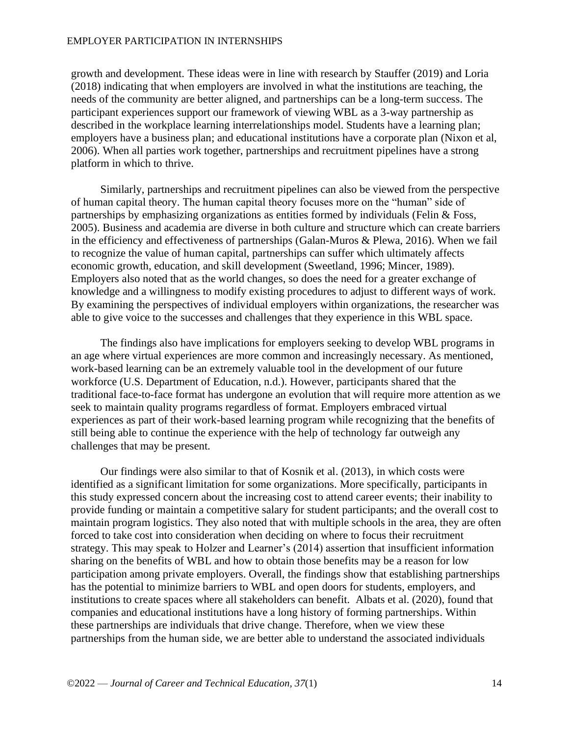growth and development. These ideas were in line with research by Stauffer (2019) and Loria (2018) indicating that when employers are involved in what the institutions are teaching, the needs of the community are better aligned, and partnerships can be a long-term success. The participant experiences support our framework of viewing WBL as a 3-way partnership as described in the workplace learning interrelationships model. Students have a learning plan; employers have a business plan; and educational institutions have a corporate plan (Nixon et al, 2006). When all parties work together, partnerships and recruitment pipelines have a strong platform in which to thrive.

Similarly, partnerships and recruitment pipelines can also be viewed from the perspective of human capital theory. The human capital theory focuses more on the "human" side of partnerships by emphasizing organizations as entities formed by individuals (Felin & Foss, 2005). Business and academia are diverse in both culture and structure which can create barriers in the efficiency and effectiveness of partnerships (Galan-Muros & Plewa, 2016). When we fail to recognize the value of human capital, partnerships can suffer which ultimately affects economic growth, education, and skill development (Sweetland, 1996; Mincer, 1989). Employers also noted that as the world changes, so does the need for a greater exchange of knowledge and a willingness to modify existing procedures to adjust to different ways of work. By examining the perspectives of individual employers within organizations, the researcher was able to give voice to the successes and challenges that they experience in this WBL space.

The findings also have implications for employers seeking to develop WBL programs in an age where virtual experiences are more common and increasingly necessary. As mentioned, work-based learning can be an extremely valuable tool in the development of our future workforce (U.S. Department of Education, n.d.). However, participants shared that the traditional face-to-face format has undergone an evolution that will require more attention as we seek to maintain quality programs regardless of format. Employers embraced virtual experiences as part of their work-based learning program while recognizing that the benefits of still being able to continue the experience with the help of technology far outweigh any challenges that may be present.

Our findings were also similar to that of Kosnik et al. (2013), in which costs were identified as a significant limitation for some organizations. More specifically, participants in this study expressed concern about the increasing cost to attend career events; their inability to provide funding or maintain a competitive salary for student participants; and the overall cost to maintain program logistics. They also noted that with multiple schools in the area, they are often forced to take cost into consideration when deciding on where to focus their recruitment strategy. This may speak to Holzer and Learner's (2014) assertion that insufficient information sharing on the benefits of WBL and how to obtain those benefits may be a reason for low participation among private employers. Overall, the findings show that establishing partnerships has the potential to minimize barriers to WBL and open doors for students, employers, and institutions to create spaces where all stakeholders can benefit. Albats et al. (2020), found that companies and educational institutions have a long history of forming partnerships. Within these partnerships are individuals that drive change. Therefore, when we view these partnerships from the human side, we are better able to understand the associated individuals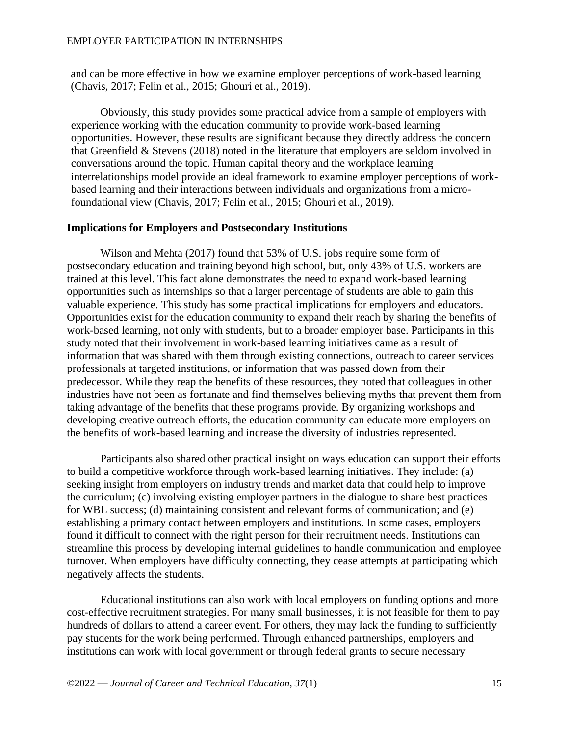and can be more effective in how we examine employer perceptions of work-based learning (Chavis, 2017; Felin et al., 2015; Ghouri et al., 2019).

Obviously, this study provides some practical advice from a sample of employers with experience working with the education community to provide work-based learning opportunities. However, these results are significant because they directly address the concern that Greenfield & Stevens (2018) noted in the literature that employers are seldom involved in conversations around the topic. Human capital theory and the workplace learning interrelationships model provide an ideal framework to examine employer perceptions of workbased learning and their interactions between individuals and organizations from a microfoundational view (Chavis, 2017; Felin et al., 2015; Ghouri et al., 2019).

#### **Implications for Employers and Postsecondary Institutions**

Wilson and Mehta (2017) found that 53% of U.S. jobs require some form of postsecondary education and training beyond high school, but, only 43% of U.S. workers are trained at this level. This fact alone demonstrates the need to expand work-based learning opportunities such as internships so that a larger percentage of students are able to gain this valuable experience. This study has some practical implications for employers and educators. Opportunities exist for the education community to expand their reach by sharing the benefits of work-based learning, not only with students, but to a broader employer base. Participants in this study noted that their involvement in work-based learning initiatives came as a result of information that was shared with them through existing connections, outreach to career services professionals at targeted institutions, or information that was passed down from their predecessor. While they reap the benefits of these resources, they noted that colleagues in other industries have not been as fortunate and find themselves believing myths that prevent them from taking advantage of the benefits that these programs provide. By organizing workshops and developing creative outreach efforts, the education community can educate more employers on the benefits of work-based learning and increase the diversity of industries represented.

Participants also shared other practical insight on ways education can support their efforts to build a competitive workforce through work-based learning initiatives. They include: (a) seeking insight from employers on industry trends and market data that could help to improve the curriculum; (c) involving existing employer partners in the dialogue to share best practices for WBL success; (d) maintaining consistent and relevant forms of communication; and (e) establishing a primary contact between employers and institutions. In some cases, employers found it difficult to connect with the right person for their recruitment needs. Institutions can streamline this process by developing internal guidelines to handle communication and employee turnover. When employers have difficulty connecting, they cease attempts at participating which negatively affects the students.

Educational institutions can also work with local employers on funding options and more cost-effective recruitment strategies. For many small businesses, it is not feasible for them to pay hundreds of dollars to attend a career event. For others, they may lack the funding to sufficiently pay students for the work being performed. Through enhanced partnerships, employers and institutions can work with local government or through federal grants to secure necessary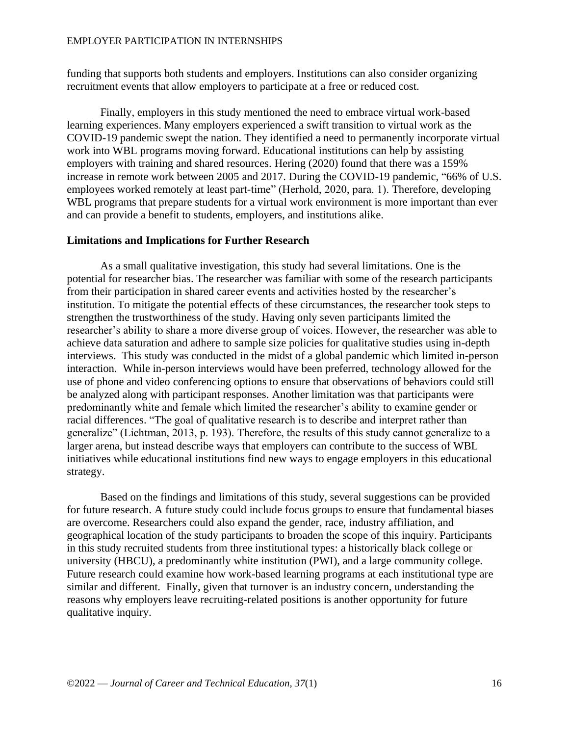funding that supports both students and employers. Institutions can also consider organizing recruitment events that allow employers to participate at a free or reduced cost.

Finally, employers in this study mentioned the need to embrace virtual work-based learning experiences. Many employers experienced a swift transition to virtual work as the COVID-19 pandemic swept the nation. They identified a need to permanently incorporate virtual work into WBL programs moving forward. Educational institutions can help by assisting employers with training and shared resources. Hering (2020) found that there was a 159% increase in remote work between 2005 and 2017. During the COVID-19 pandemic, "66% of U.S. employees worked remotely at least part-time" (Herhold, 2020, para. 1). Therefore, developing WBL programs that prepare students for a virtual work environment is more important than ever and can provide a benefit to students, employers, and institutions alike.

### **Limitations and Implications for Further Research**

As a small qualitative investigation, this study had several limitations. One is the potential for researcher bias. The researcher was familiar with some of the research participants from their participation in shared career events and activities hosted by the researcher's institution. To mitigate the potential effects of these circumstances, the researcher took steps to strengthen the trustworthiness of the study. Having only seven participants limited the researcher's ability to share a more diverse group of voices. However, the researcher was able to achieve data saturation and adhere to sample size policies for qualitative studies using in-depth interviews. This study was conducted in the midst of a global pandemic which limited in-person interaction. While in-person interviews would have been preferred, technology allowed for the use of phone and video conferencing options to ensure that observations of behaviors could still be analyzed along with participant responses. Another limitation was that participants were predominantly white and female which limited the researcher's ability to examine gender or racial differences. "The goal of qualitative research is to describe and interpret rather than generalize" (Lichtman, 2013, p. 193). Therefore, the results of this study cannot generalize to a larger arena, but instead describe ways that employers can contribute to the success of WBL initiatives while educational institutions find new ways to engage employers in this educational strategy.

Based on the findings and limitations of this study, several suggestions can be provided for future research. A future study could include focus groups to ensure that fundamental biases are overcome. Researchers could also expand the gender, race, industry affiliation, and geographical location of the study participants to broaden the scope of this inquiry. Participants in this study recruited students from three institutional types: a historically black college or university (HBCU), a predominantly white institution (PWI), and a large community college. Future research could examine how work-based learning programs at each institutional type are similar and different. Finally, given that turnover is an industry concern, understanding the reasons why employers leave recruiting-related positions is another opportunity for future qualitative inquiry.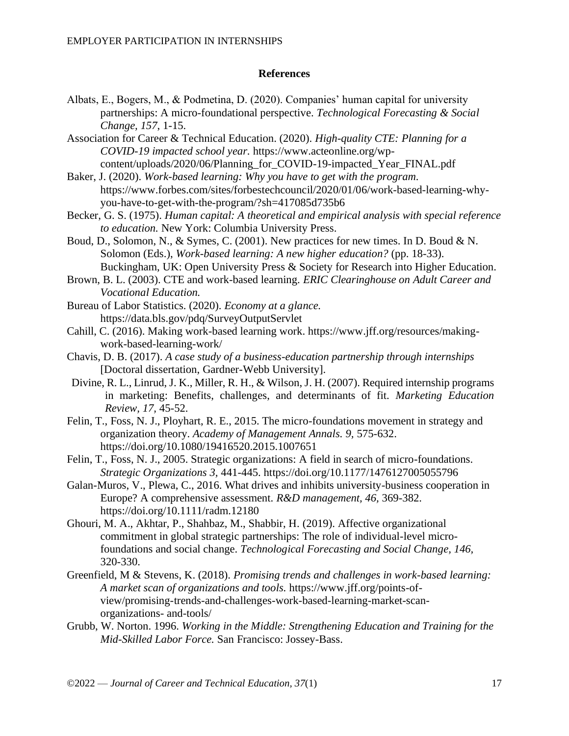### **References**

- Albats, E., Bogers, M., & Podmetina, D. (2020). Companies' human capital for university partnerships: A micro-foundational perspective. *Technological Forecasting & Social Change, 157*, 1-15.
- Association for Career & Technical Education. (2020). *High-quality CTE: Planning for a COVID-19 impacted school year.* https://www.acteonline.org/wpcontent/uploads/2020/06/Planning\_for\_COVID-19-impacted\_Year\_FINAL.pdf
- Baker, J. (2020). *Work-based learning: Why you have to get with the program.* https://www.forbes.com/sites/forbestechcouncil/2020/01/06/work-based-learning-whyyou-have-to-get-with-the-program/?sh=417085d735b6
- Becker, G. S. (1975). *Human capital: A theoretical and empirical analysis with special reference to education.* New York: Columbia University Press.
- Boud, D., Solomon, N., & Symes, C. (2001). New practices for new times. In D. Boud & N. Solomon (Eds.), *Work-based learning: A new higher education?* (pp. 18-33). Buckingham, UK: Open University Press & Society for Research into Higher Education.
- Brown, B. L. (2003). CTE and work-based learning. *ERIC Clearinghouse on Adult Career and Vocational Education.*
- Bureau of Labor Statistics. (2020). *Economy at a glance.*  https://data.bls.gov/pdq/SurveyOutputServlet
- Cahill, C. (2016). Making work-based learning work. https://www.jff.org/resources/makingwork-based-learning-work/
- Chavis, D. B. (2017). *A case study of a business-education partnership through internships*  [Doctoral dissertation, Gardner-Webb University].
- Divine, R. L., Linrud, J. K., Miller, R. H., & Wilson, J. H. (2007). Required internship programs in marketing: Benefits, challenges, and determinants of fit. *Marketing Education Review, 17,* 45-52.
- Felin, T., Foss, N. J., Ployhart, R. E., 2015. The micro-foundations movement in strategy and organization theory. *Academy of Management Annals. 9,* 575-632. https://doi.org/10.1080/19416520.2015.1007651
- Felin, T., Foss, N. J., 2005. Strategic organizations: A field in search of micro-foundations. *Strategic Organizations 3,* 441-445. https://doi.org/10.1177/1476127005055796
- Galan-Muros, V., Plewa, C., 2016. What drives and inhibits university-business cooperation in Europe? A comprehensive assessment. *R&D management, 46,* 369-382. https://doi.org/10.1111/radm.12180
- Ghouri, M. A., Akhtar, P., Shahbaz, M., Shabbir, H. (2019). Affective organizational commitment in global strategic partnerships: The role of individual-level microfoundations and social change. *Technological Forecasting and Social Change, 146,*  320-330.
- Greenfield, M & Stevens, K. (2018). *Promising trends and challenges in work-based learning: A market scan of organizations and tools.* ht[tps://www.jff.org/points-of](http://www.jff.org/points-of-)view/promising-trends-and-challenges-work-based-learning-market-scanorganizations- and-tools/
- Grubb, W. Norton. 1996. *Working in the Middle: Strengthening Education and Training for the Mid-Skilled Labor Force.* San Francisco: Jossey-Bass.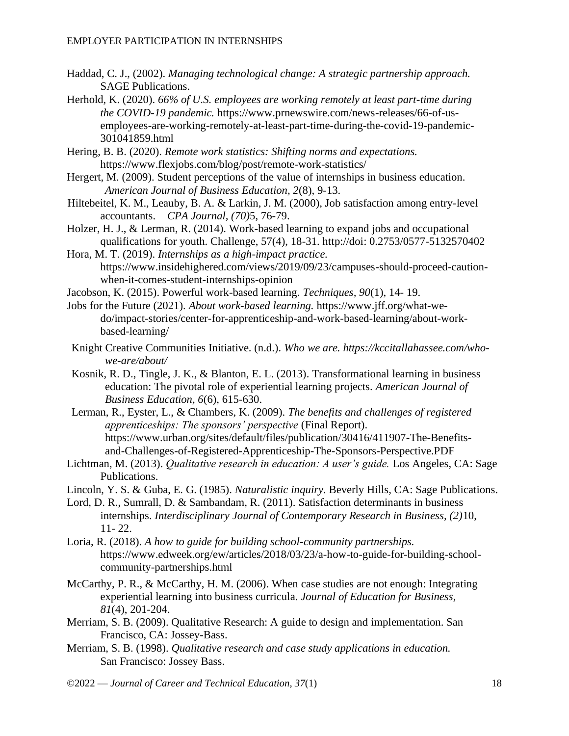- Haddad, C. J., (2002). *Managing technological change: A strategic partnership approach.* SAGE Publications.
- Herhold, K. (2020). *66% of U.S. employees are working remotely at least part-time during the COVID-19 pandemic.* https://www.prnewswire.com/news-releases/66-of-usemployees-are-working-remotely-at-least-part-time-during-the-covid-19-pandemic-301041859.html
- Hering, B. B. (2020). *Remote work statistics: Shifting norms and expectations.*  https://www.flexjobs.com/blog/post/remote-work-statistics/
- Hergert, M. (2009). Student perceptions of the value of internships in business education. *American Journal of Business Education, 2*(8), 9-13.
- Hiltebeitel, K. M., Leauby, B. A. & Larkin, J. M. (2000), Job satisfaction among entry-level accountants. *CPA Journal, (70)*5, 76-79.
- Holzer, H. J., & Lerman, R. (2014). Work-based learning to expand jobs and occupational qualifications for youth. Challenge, 57(4), 18-31. http://doi: 0.2753/0577-5132570402
- Hora, M. T. (2019). *Internships as a high-impact practice.*  https://www.insidehighered.com/views/2019/09/23/campuses-should-proceed-cautionwhen-it-comes-student-internships-opinion
- Jacobson, K. (2015). Powerful work-based learning. *Techniques, 90*(1), 14- 19.
- Jobs for the Future (2021). *About work-based learning.* https://www.jff.org/what-wedo/impact-stories/center-for-apprenticeship-and-work-based-learning/about-workbased-learning/
- Knight Creative Communities Initiative. (n.d.). *Who we are. https://kccitallahassee.com/whowe-are/about/*
- Kosnik, R. D., Tingle, J. K., & Blanton, E. L. (2013). Transformational learning in business education: The pivotal role of experiential learning projects. *American Journal of Business Education, 6*(6), 615-630.
- Lerman, R., Eyster, L., & Chambers, K. (2009). *The benefits and challenges of registered apprenticeships: The sponsors' perspective* (Final Report). https://www.urban.org/sites/default/files/publication/30416/411907-The-Benefitsand-Challenges-of-Registered-Apprenticeship-The-Sponsors-Perspective.PDF
- Lichtman, M. (2013). *Qualitative research in education: A user's guide.* Los Angeles, CA: Sage Publications.
- Lincoln, Y. S. & Guba, E. G. (1985). *Naturalistic inquiry.* Beverly Hills, CA: Sage Publications.
- Lord, D. R., Sumrall, D. & Sambandam, R. (2011). Satisfaction determinants in business internships. *Interdisciplinary Journal of Contemporary Research in Business, (2)*10, 11- 22.
- Loria, R. (2018). *A how to guide for building school-community partnerships.*  https://www.edweek.org/ew/articles/2018/03/23/a-how-to-guide-for-building-schoolcommunity-partnerships.html
- McCarthy, P. R., & McCarthy, H. M. (2006). When case studies are not enough: Integrating experiential learning into business curricula. *Journal of Education for Business, 81*(4), 201-204.
- Merriam, S. B. (2009). Qualitative Research: A guide to design and implementation. San Francisco, CA: Jossey-Bass.
- Merriam, S. B. (1998). *Qualitative research and case study applications in education.*  San Francisco: Jossey Bass.
- ©2022 *Journal of Career and Technical Education, 37*(1) 18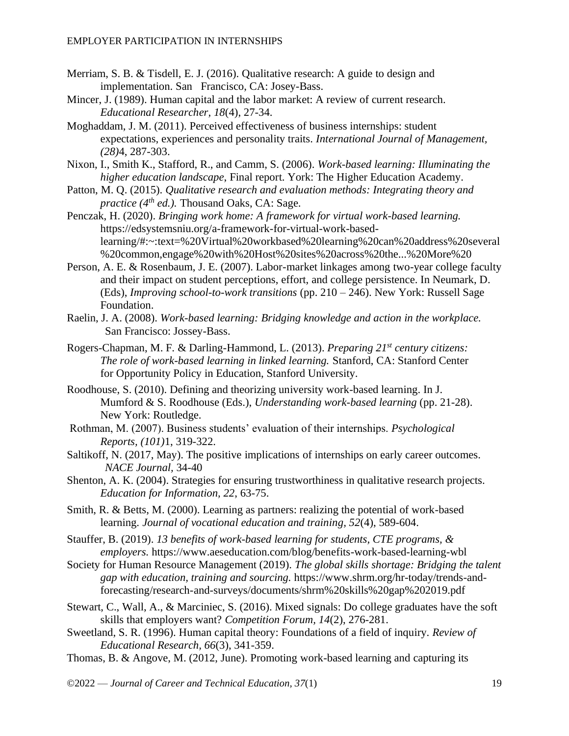- Merriam, S. B. & Tisdell, E. J. (2016). Qualitative research: A guide to design and implementation. San Francisco, CA: Josey-Bass.
- Mincer, J. (1989). Human capital and the labor market: A review of current research. *Educational Researcher, 18*(4), 27-34.
- Moghaddam, J. M. (2011). Perceived effectiveness of business internships: student expectations, experiences and personality traits. *International Journal of Management, (28)*4, 287-303.
- Nixon, I., Smith K., Stafford, R., and Camm, S. (2006). *Work-based learning: Illuminating the higher education landscape*, Final report. York: The Higher Education Academy.
- Patton, M. Q. (2015). *Qualitative research and evaluation methods: Integrating theory and practice (4th ed.).* Thousand Oaks, CA: Sage.
- Penczak, H. (2020). *Bringing work home: A framework for virtual work-based learning.*  https://edsystemsniu.org/a-framework-for-virtual-work-basedlearning/#:~:text=%20Virtual%20workbased%20learning%20can%20address%20several %20common,engage%20with%20Host%20sites%20across%20the...%20More%20
- Person, A. E. & Rosenbaum, J. E. (2007). Labor-market linkages among two-year college faculty and their impact on student perceptions, effort, and college persistence. In Neumark, D. (Eds), *Improving school-to-work transitions* (pp. 210 – 246). New York: Russell Sage Foundation.
- Raelin, J. A. (2008). *Work-based learning: Bridging knowledge and action in the workplace.* San Francisco: Jossey-Bass.
- Rogers-Chapman, M. F. & Darling-Hammond, L. (2013). *Preparing 21st century citizens: The role of work-based learning in linked learning.* Stanford, CA: Stanford Center for Opportunity Policy in Education, Stanford University.
- Roodhouse, S. (2010). Defining and theorizing university work-based learning. In J. Mumford & S. Roodhouse (Eds.), *Understanding work-based learning* (pp. 21-28). New York: Routledge.
- Rothman, M. (2007). Business students' evaluation of their internships. *Psychological Reports, (101)*1, 319-322.
- Saltikoff, N. (2017, May). The positive implications of internships on early career outcomes. *NACE Journal,* 34-40
- Shenton, A. K. (2004). Strategies for ensuring trustworthiness in qualitative research projects. *Education for Information, 22*, 63-75.
- Smith, R. & Betts, M. (2000). Learning as partners: realizing the potential of work-based learning. *Journal of vocational education and training, 52*(4), 589-604.
- Stauffer, B. (2019). *13 benefits of work-based learning for students, CTE programs, & employers.* https://www.aeseducation.com/blog/benefits-work-based-learning-wbl
- Society for Human Resource Management (2019). *The global skills shortage: Bridging the talent gap with education, training and sourcing.* https://www.shrm.org/hr-today/trends-andforecasting/research-and-surveys/documents/shrm%20skills%20gap%202019.pdf
- Stewart, C., Wall, A., & Marciniec, S. (2016). Mixed signals: Do college graduates have the soft skills that employers want? *Competition Forum, 14*(2), 276-281.
- Sweetland, S. R. (1996). Human capital theory: Foundations of a field of inquiry. *Review of Educational Research, 66*(3), 341-359.
- Thomas, B. & Angove, M. (2012, June). Promoting work-based learning and capturing its